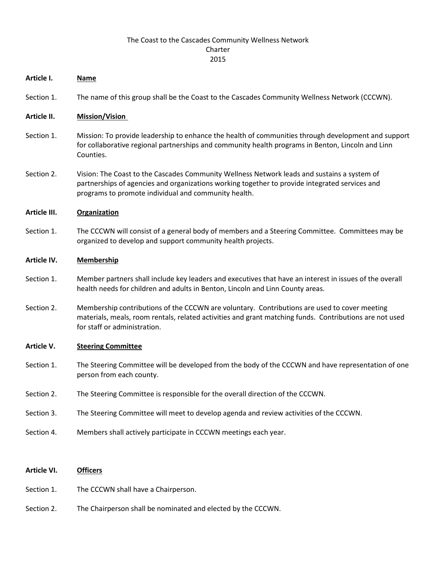# The Coast to the Cascades Community Wellness Network Charter 2015

## **Article I. Name**

Section 1. The name of this group shall be the Coast to the Cascades Community Wellness Network (CCCWN).

## **Article II. Mission/Vision**

- Section 1. Mission: To provide leadership to enhance the health of communities through development and support for collaborative regional partnerships and community health programs in Benton, Lincoln and Linn Counties.
- Section 2. Vision: The Coast to the Cascades Community Wellness Network leads and sustains a system of partnerships of agencies and organizations working together to provide integrated services and programs to promote individual and community health.

## **Article III. Organization**

Section 1. The CCCWN will consist of a general body of members and a Steering Committee. Committees may be organized to develop and support community health projects.

## **Article IV. Membership**

- Section 1. Member partners shall include key leaders and executives that have an interest in issues of the overall health needs for children and adults in Benton, Lincoln and Linn County areas.
- Section 2. Membership contributions of the CCCWN are voluntary. Contributions are used to cover meeting materials, meals, room rentals, related activities and grant matching funds. Contributions are not used for staff or administration.

#### **Article V. Steering Committee**

- Section 1. The Steering Committee will be developed from the body of the CCCWN and have representation of one person from each county.
- Section 2. The Steering Committee is responsible for the overall direction of the CCCWN.
- Section 3. The Steering Committee will meet to develop agenda and review activities of the CCCWN.
- Section 4. Members shall actively participate in CCCWN meetings each year.

## **Article VI. Officers**

- Section 1. The CCCWN shall have a Chairperson.
- Section 2. The Chairperson shall be nominated and elected by the CCCWN.